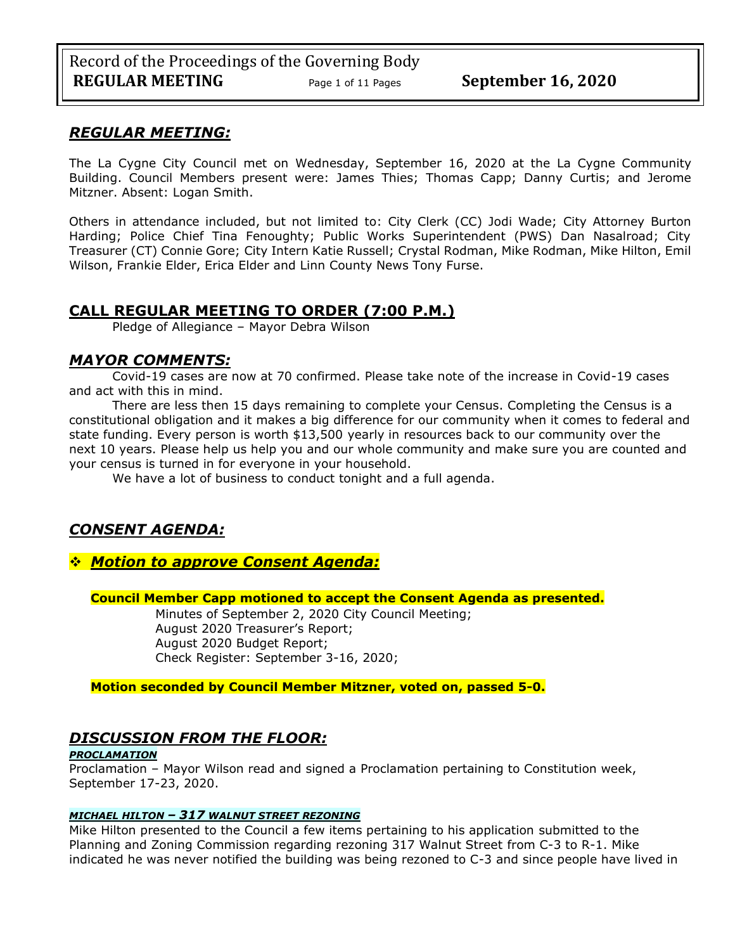### *REGULAR MEETING:*

The La Cygne City Council met on Wednesday, September 16, 2020 at the La Cygne Community Building. Council Members present were: James Thies; Thomas Capp; Danny Curtis; and Jerome Mitzner. Absent: Logan Smith.

Others in attendance included, but not limited to: City Clerk (CC) Jodi Wade; City Attorney Burton Harding; Police Chief Tina Fenoughty; Public Works Superintendent (PWS) Dan Nasalroad; City Treasurer (CT) Connie Gore; City Intern Katie Russell; Crystal Rodman, Mike Rodman, Mike Hilton, Emil Wilson, Frankie Elder, Erica Elder and Linn County News Tony Furse.

## **CALL REGULAR MEETING TO ORDER (7:00 P.M.)**

Pledge of Allegiance – Mayor Debra Wilson

### *MAYOR COMMENTS:*

Covid-19 cases are now at 70 confirmed. Please take note of the increase in Covid-19 cases and act with this in mind.

There are less then 15 days remaining to complete your Census. Completing the Census is a constitutional obligation and it makes a big difference for our community when it comes to federal and state funding. Every person is worth \$13,500 yearly in resources back to our community over the next 10 years. Please help us help you and our whole community and make sure you are counted and your census is turned in for everyone in your household.

We have a lot of business to conduct tonight and a full agenda.

## *CONSENT AGENDA:*

### ❖ *Motion to approve Consent Agenda:*

**Council Member Capp motioned to accept the Consent Agenda as presented.**

Minutes of September 2, 2020 City Council Meeting; August 2020 Treasurer's Report; August 2020 Budget Report; Check Register: September 3-16, 2020;

**Motion seconded by Council Member Mitzner, voted on, passed 5-0.** 

## *DISCUSSION FROM THE FLOOR:*

#### *PROCLAMATION*

Proclamation – Mayor Wilson read and signed a Proclamation pertaining to Constitution week, September 17-23, 2020.

#### *MICHAEL HILTON – 317 WALNUT STREET REZONING*

Mike Hilton presented to the Council a few items pertaining to his application submitted to the Planning and Zoning Commission regarding rezoning 317 Walnut Street from C-3 to R-1. Mike indicated he was never notified the building was being rezoned to C-3 and since people have lived in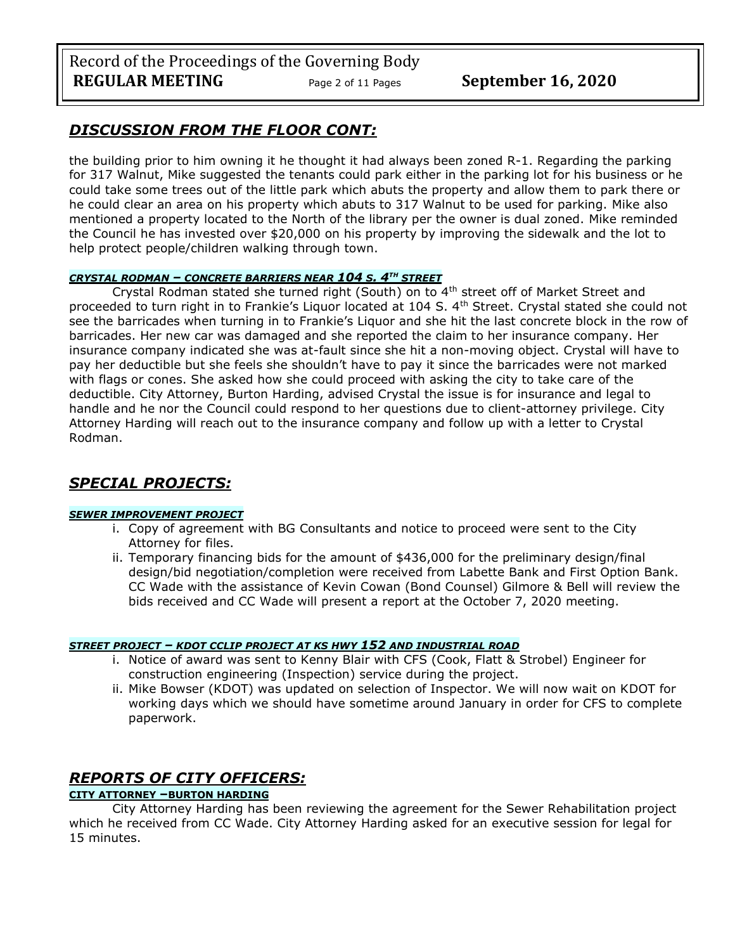## *DISCUSSION FROM THE FLOOR CONT:*

the building prior to him owning it he thought it had always been zoned R-1. Regarding the parking for 317 Walnut, Mike suggested the tenants could park either in the parking lot for his business or he could take some trees out of the little park which abuts the property and allow them to park there or he could clear an area on his property which abuts to 317 Walnut to be used for parking. Mike also mentioned a property located to the North of the library per the owner is dual zoned. Mike reminded the Council he has invested over \$20,000 on his property by improving the sidewalk and the lot to help protect people/children walking through town.

### *CRYSTAL RODMAN – CONCRETE BARRIERS NEAR 104 S. 4TH STREET*

Crystal Rodman stated she turned right (South) on to 4<sup>th</sup> street off of Market Street and proceeded to turn right in to Frankie's Liquor located at 104 S. 4th Street. Crystal stated she could not see the barricades when turning in to Frankie's Liquor and she hit the last concrete block in the row of barricades. Her new car was damaged and she reported the claim to her insurance company. Her insurance company indicated she was at-fault since she hit a non-moving object. Crystal will have to pay her deductible but she feels she shouldn't have to pay it since the barricades were not marked with flags or cones. She asked how she could proceed with asking the city to take care of the deductible. City Attorney, Burton Harding, advised Crystal the issue is for insurance and legal to handle and he nor the Council could respond to her questions due to client-attorney privilege. City Attorney Harding will reach out to the insurance company and follow up with a letter to Crystal Rodman.

## *SPECIAL PROJECTS:*

#### *SEWER IMPROVEMENT PROJECT*

- i. Copy of agreement with BG Consultants and notice to proceed were sent to the City Attorney for files.
- ii. Temporary financing bids for the amount of \$436,000 for the preliminary design/final design/bid negotiation/completion were received from Labette Bank and First Option Bank. CC Wade with the assistance of Kevin Cowan (Bond Counsel) Gilmore & Bell will review the bids received and CC Wade will present a report at the October 7, 2020 meeting.

#### *STREET PROJECT – KDOT CCLIP PROJECT AT KS HWY 152 AND INDUSTRIAL ROAD*

- i. Notice of award was sent to Kenny Blair with CFS (Cook, Flatt & Strobel) Engineer for construction engineering (Inspection) service during the project.
- ii. Mike Bowser (KDOT) was updated on selection of Inspector. We will now wait on KDOT for working days which we should have sometime around January in order for CFS to complete paperwork.

## *REPORTS OF CITY OFFICERS:*

### **CITY ATTORNEY –BURTON HARDING**

City Attorney Harding has been reviewing the agreement for the Sewer Rehabilitation project which he received from CC Wade. City Attorney Harding asked for an executive session for legal for 15 minutes.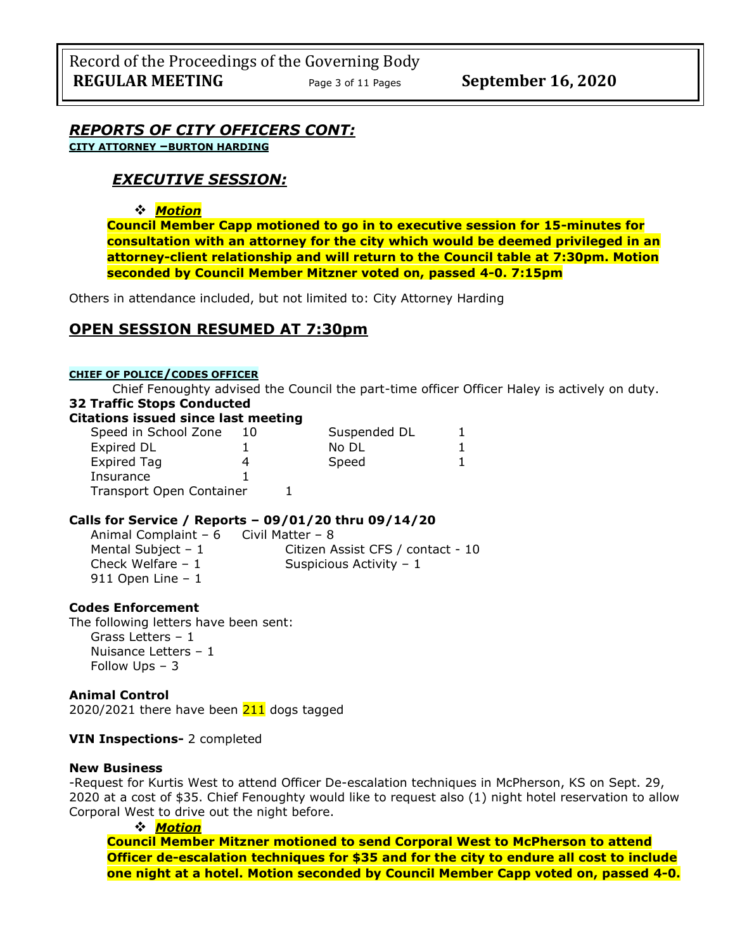*REPORTS OF CITY OFFICERS CONT:* **CITY ATTORNEY –BURTON HARDING**

## *EXECUTIVE SESSION:*

### ❖ *Motion*

**Council Member Capp motioned to go in to executive session for 15-minutes for consultation with an attorney for the city which would be deemed privileged in an attorney-client relationship and will return to the Council table at 7:30pm. Motion seconded by Council Member Mitzner voted on, passed 4-0. 7:15pm** 

Others in attendance included, but not limited to: City Attorney Harding

## **OPEN SESSION RESUMED AT 7:30pm**

#### **CHIEF OF POLICE/CODES OFFICER**

Chief Fenoughty advised the Council the part-time officer Officer Haley is actively on duty. **32 Traffic Stops Conducted**

#### **Citations issued since last meeting**

| Speed in School Zone     | 10 | Suspended DL |  |
|--------------------------|----|--------------|--|
| Expired DL               |    | No DL        |  |
| <b>Expired Tag</b>       |    | Speed        |  |
| Insurance                |    |              |  |
| Transport Open Container |    |              |  |

#### **Calls for Service / Reports – 09/01/20 thru 09/14/20**

Animal Complaint –  $6$  Civil Matter – 8 Mental Subject – 1 Citizen Assist CFS / contact - 10 Check Welfare – 1 Suspicious Activity – 1 911 Open Line – 1

#### **Codes Enforcement**

The following letters have been sent: Grass Letters – 1 Nuisance Letters – 1 Follow Ups – 3

#### **Animal Control**

2020/2021 there have been  $211$  dogs tagged

#### **VIN Inspections-** 2 completed

#### **New Business**

-Request for Kurtis West to attend Officer De-escalation techniques in McPherson, KS on Sept. 29, 2020 at a cost of \$35. Chief Fenoughty would like to request also (1) night hotel reservation to allow Corporal West to drive out the night before.

#### ❖ *Motion*

**Council Member Mitzner motioned to send Corporal West to McPherson to attend Officer de-escalation techniques for \$35 and for the city to endure all cost to include one night at a hotel. Motion seconded by Council Member Capp voted on, passed 4-0.**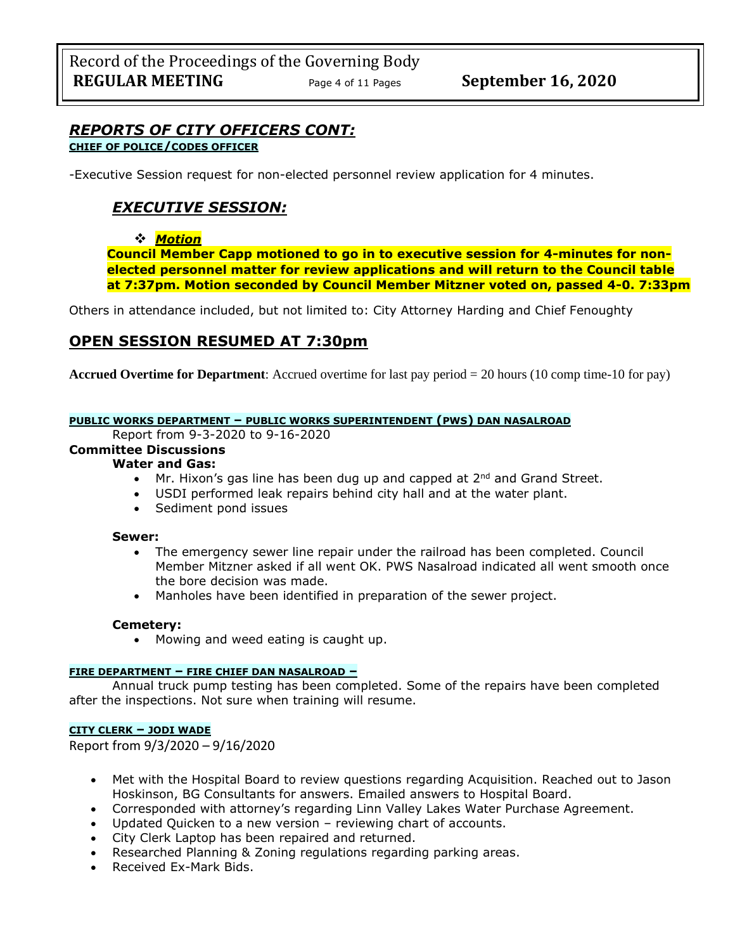# *REPORTS OF CITY OFFICERS CONT:*

## **CHIEF OF POLICE/CODES OFFICER**

-Executive Session request for non-elected personnel review application for 4 minutes.

## *EXECUTIVE SESSION:*

### ❖ *Motion*

**Council Member Capp motioned to go in to executive session for 4-minutes for nonelected personnel matter for review applications and will return to the Council table at 7:37pm. Motion seconded by Council Member Mitzner voted on, passed 4-0. 7:33pm** 

Others in attendance included, but not limited to: City Attorney Harding and Chief Fenoughty

## **OPEN SESSION RESUMED AT 7:30pm**

**Accrued Overtime for Department**: Accrued overtime for last pay period = 20 hours (10 comp time-10 for pay)

#### **PUBLIC WORKS DEPARTMENT – PUBLIC WORKS SUPERINTENDENT (PWS) DAN NASALROAD**

Report from 9-3-2020 to 9-16-2020

## **Committee Discussions**

## **Water and Gas:**

- Mr. Hixon's gas line has been dug up and capped at  $2^{nd}$  and Grand Street.
- USDI performed leak repairs behind city hall and at the water plant.
- Sediment pond issues

#### **Sewer:**

- The emergency sewer line repair under the railroad has been completed. Council Member Mitzner asked if all went OK. PWS Nasalroad indicated all went smooth once the bore decision was made.
- Manholes have been identified in preparation of the sewer project.

#### **Cemetery:**

• Mowing and weed eating is caught up.

#### **FIRE DEPARTMENT – FIRE CHIEF DAN NASALROAD –**

Annual truck pump testing has been completed. Some of the repairs have been completed after the inspections. Not sure when training will resume.

### **CITY CLERK – JODI WADE**

Report from 9/3/2020 – 9/16/2020

- Met with the Hospital Board to review questions regarding Acquisition. Reached out to Jason Hoskinson, BG Consultants for answers. Emailed answers to Hospital Board.
- Corresponded with attorney's regarding Linn Valley Lakes Water Purchase Agreement.
- Updated Quicken to a new version reviewing chart of accounts.
- City Clerk Laptop has been repaired and returned.
- Researched Planning & Zoning regulations regarding parking areas.
- Received Ex-Mark Bids.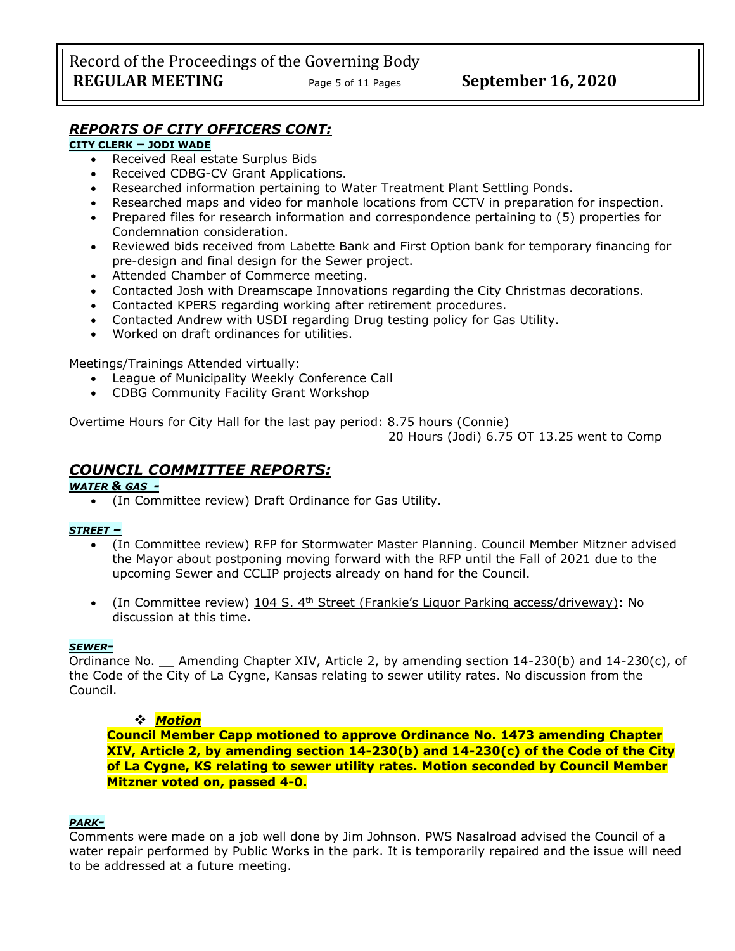### *REPORTS OF CITY OFFICERS CONT:*

#### **CITY CLERK – JODI WADE**

- Received Real estate Surplus Bids
- Received CDBG-CV Grant Applications.
- Researched information pertaining to Water Treatment Plant Settling Ponds.
- Researched maps and video for manhole locations from CCTV in preparation for inspection.
- Prepared files for research information and correspondence pertaining to (5) properties for Condemnation consideration.
- Reviewed bids received from Labette Bank and First Option bank for temporary financing for pre-design and final design for the Sewer project.
- Attended Chamber of Commerce meeting.
- Contacted Josh with Dreamscape Innovations regarding the City Christmas decorations.
- Contacted KPERS regarding working after retirement procedures.
- Contacted Andrew with USDI regarding Drug testing policy for Gas Utility.
- Worked on draft ordinances for utilities.

Meetings/Trainings Attended virtually:

- League of Municipality Weekly Conference Call
- CDBG Community Facility Grant Workshop

Overtime Hours for City Hall for the last pay period: 8.75 hours (Connie)

20 Hours (Jodi) 6.75 OT 13.25 went to Comp

## *COUNCIL COMMITTEE REPORTS:*

#### *WATER & GAS -*

• (In Committee review) Draft Ordinance for Gas Utility.

#### *STREET –*

- (In Committee review) RFP for Stormwater Master Planning. Council Member Mitzner advised the Mayor about postponing moving forward with the RFP until the Fall of 2021 due to the upcoming Sewer and CCLIP projects already on hand for the Council.
- (In Committee review) 104 S.  $4<sup>th</sup>$  Street (Frankie's Liquor Parking access/driveway): No discussion at this time.

#### *SEWER-*

Ordinance No. Amending Chapter XIV, Article 2, by amending section 14-230(b) and 14-230(c), of the Code of the City of La Cygne, Kansas relating to sewer utility rates. No discussion from the Council.

### ❖ *Motion*

**Council Member Capp motioned to approve Ordinance No. 1473 amending Chapter XIV, Article 2, by amending section 14-230(b) and 14-230(c) of the Code of the City of La Cygne, KS relating to sewer utility rates. Motion seconded by Council Member Mitzner voted on, passed 4-0.** 

#### *PARK-*

Comments were made on a job well done by Jim Johnson. PWS Nasalroad advised the Council of a water repair performed by Public Works in the park. It is temporarily repaired and the issue will need to be addressed at a future meeting.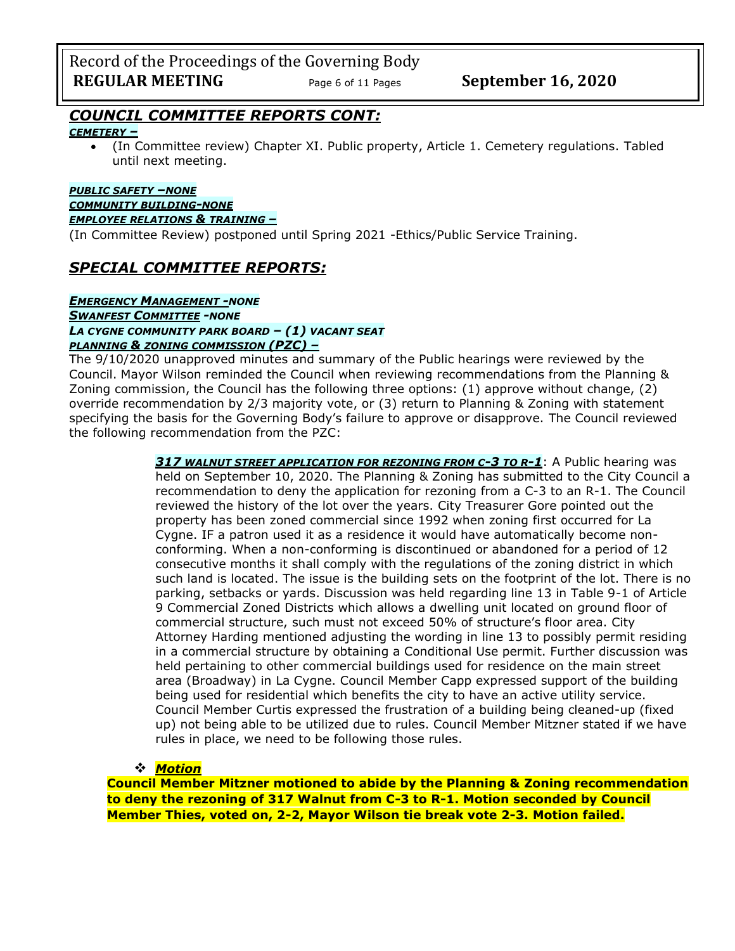Record of the Proceedings of the Governing Body **REGULAR MEETING** Page 6 of 11 Pages September 16, 2020

## *COUNCIL COMMITTEE REPORTS CONT:*

#### *CEMETERY –*

• (In Committee review) Chapter XI. Public property, Article 1. Cemetery regulations. Tabled until next meeting.

#### *PUBLIC SAFETY –NONE COMMUNITY BUILDING-NONE*

#### *EMPLOYEE RELATIONS & TRAINING –*

(In Committee Review) postponed until Spring 2021 -Ethics/Public Service Training.

## *SPECIAL COMMITTEE REPORTS:*

## *EMERGENCY MANAGEMENT -NONE SWANFEST COMMITTEE -NONE LA CYGNE COMMUNITY PARK BOARD – (1) VACANT SEAT*

## *PLANNING & ZONING COMMISSION (PZC) –*

The 9/10/2020 unapproved minutes and summary of the Public hearings were reviewed by the Council. Mayor Wilson reminded the Council when reviewing recommendations from the Planning & Zoning commission, the Council has the following three options: (1) approve without change, (2) override recommendation by 2/3 majority vote, or (3) return to Planning & Zoning with statement specifying the basis for the Governing Body's failure to approve or disapprove. The Council reviewed the following recommendation from the PZC:

> *317 WALNUT STREET APPLICATION FOR REZONING FROM C-3 TO R-1*: A Public hearing was held on September 10, 2020. The Planning & Zoning has submitted to the City Council a recommendation to deny the application for rezoning from a C-3 to an R-1. The Council reviewed the history of the lot over the years. City Treasurer Gore pointed out the property has been zoned commercial since 1992 when zoning first occurred for La Cygne. IF a patron used it as a residence it would have automatically become nonconforming. When a non-conforming is discontinued or abandoned for a period of 12 consecutive months it shall comply with the regulations of the zoning district in which such land is located. The issue is the building sets on the footprint of the lot. There is no parking, setbacks or yards. Discussion was held regarding line 13 in Table 9-1 of Article 9 Commercial Zoned Districts which allows a dwelling unit located on ground floor of commercial structure, such must not exceed 50% of structure's floor area. City Attorney Harding mentioned adjusting the wording in line 13 to possibly permit residing in a commercial structure by obtaining a Conditional Use permit. Further discussion was held pertaining to other commercial buildings used for residence on the main street area (Broadway) in La Cygne. Council Member Capp expressed support of the building being used for residential which benefits the city to have an active utility service. Council Member Curtis expressed the frustration of a building being cleaned-up (fixed up) not being able to be utilized due to rules. Council Member Mitzner stated if we have rules in place, we need to be following those rules.

### ❖ *Motion*

**Council Member Mitzner motioned to abide by the Planning & Zoning recommendation to deny the rezoning of 317 Walnut from C-3 to R-1. Motion seconded by Council Member Thies, voted on, 2-2, Mayor Wilson tie break vote 2-3. Motion failed.**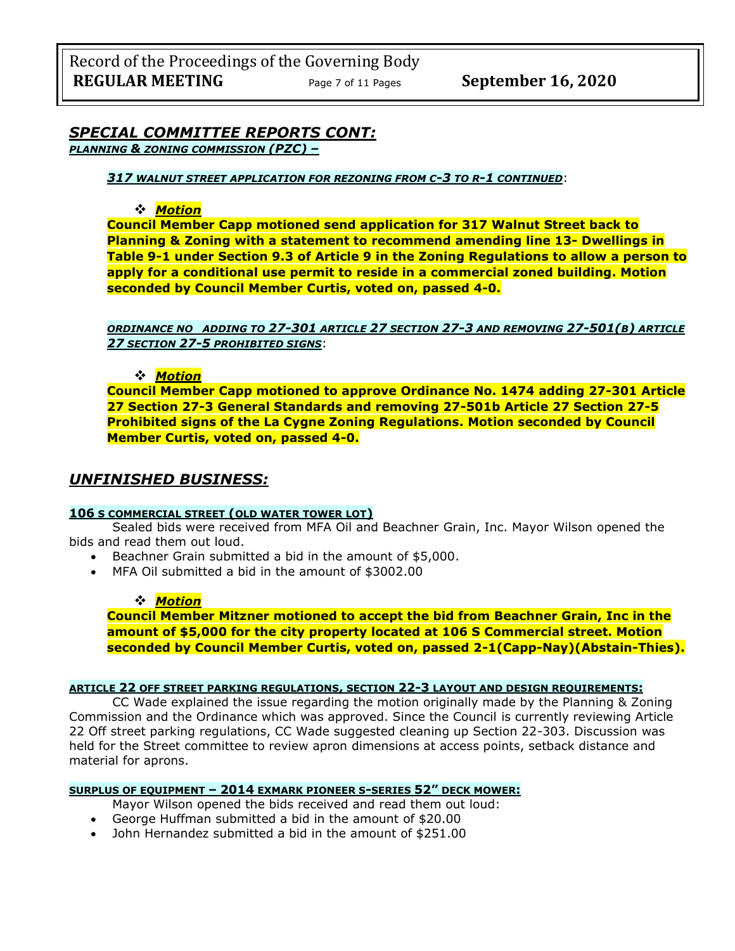### *SPECIAL COMMITTEE REPORTS CONT: PLANNING & ZONING COMMISSION (PZC) –*

*317 WALNUT STREET APPLICATION FOR REZONING FROM C-3 TO R-1 CONTINUED*:

### ❖ *Motion*

**Council Member Capp motioned send application for 317 Walnut Street back to Planning & Zoning with a statement to recommend amending line 13- Dwellings in Table 9-1 under Section 9.3 of Article 9 in the Zoning Regulations to allow a person to apply for a conditional use permit to reside in a commercial zoned building. Motion seconded by Council Member Curtis, voted on, passed 4-0.**

*ORDINANCE NO ADDING TO 27-301 ARTICLE 27 SECTION 27-3 AND REMOVING 27-501(B) ARTICLE 27 SECTION 27-5 PROHIBITED SIGNS*:

### ❖ *Motion*

**Council Member Capp motioned to approve Ordinance No. 1474 adding 27-301 Article 27 Section 27-3 General Standards and removing 27-501b Article 27 Section 27-5 Prohibited signs of the La Cygne Zoning Regulations. Motion seconded by Council Member Curtis, voted on, passed 4-0.**

### *UNFINISHED BUSINESS:*

#### **106 S COMMERCIAL STREET (OLD WATER TOWER LOT)**

Sealed bids were received from MFA Oil and Beachner Grain, Inc. Mayor Wilson opened the bids and read them out loud.

- Beachner Grain submitted a bid in the amount of \$5,000.
- MFA Oil submitted a bid in the amount of \$3002.00

#### ❖ *Motion*

**Council Member Mitzner motioned to accept the bid from Beachner Grain, Inc in the amount of \$5,000 for the city property located at 106 S Commercial street. Motion seconded by Council Member Curtis, voted on, passed 2-1(Capp-Nay)(Abstain-Thies).**

#### **ARTICLE 22 OFF STREET PARKING REGULATIONS, SECTION 22-3 LAYOUT AND DESIGN REQUIREMENTS:**

CC Wade explained the issue regarding the motion originally made by the Planning & Zoning Commission and the Ordinance which was approved. Since the Council is currently reviewing Article 22 Off street parking regulations, CC Wade suggested cleaning up Section 22-303. Discussion was held for the Street committee to review apron dimensions at access points, setback distance and material for aprons.

#### **SURPLUS OF EQUIPMENT – 2014 EXMARK PIONEER S-SERIES 52" DECK MOWER:**

Mayor Wilson opened the bids received and read them out loud:

- George Huffman submitted a bid in the amount of \$20.00
- John Hernandez submitted a bid in the amount of \$251.00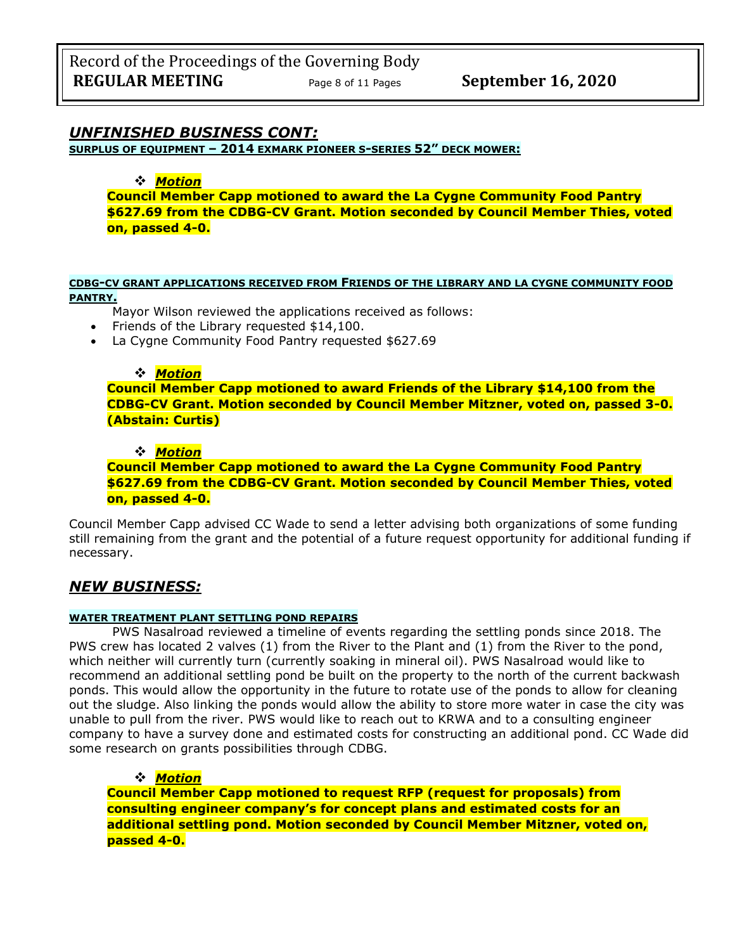### *UNFINISHED BUSINESS CONT:*

**SURPLUS OF EQUIPMENT – 2014 EXMARK PIONEER S-SERIES 52" DECK MOWER:**

### ❖ *Motion*

**Council Member Capp motioned to award the La Cygne Community Food Pantry \$627.69 from the CDBG-CV Grant. Motion seconded by Council Member Thies, voted on, passed 4-0.**

#### **CDBG-CV GRANT APPLICATIONS RECEIVED FROM FRIENDS OF THE LIBRARY AND LA CYGNE COMMUNITY FOOD PANTRY.**

#### Mayor Wilson reviewed the applications received as follows:

- Friends of the Library requested \$14,100.
- La Cygne Community Food Pantry requested \$627.69

#### ❖ *Motion*

**Council Member Capp motioned to award Friends of the Library \$14,100 from the CDBG-CV Grant. Motion seconded by Council Member Mitzner, voted on, passed 3-0. (Abstain: Curtis)**

#### ❖ *Motion*

**Council Member Capp motioned to award the La Cygne Community Food Pantry \$627.69 from the CDBG-CV Grant. Motion seconded by Council Member Thies, voted on, passed 4-0.**

Council Member Capp advised CC Wade to send a letter advising both organizations of some funding still remaining from the grant and the potential of a future request opportunity for additional funding if necessary.

## *NEW BUSINESS:*

#### **WATER TREATMENT PLANT SETTLING POND REPAIRS**

PWS Nasalroad reviewed a timeline of events regarding the settling ponds since 2018. The PWS crew has located 2 valves (1) from the River to the Plant and (1) from the River to the pond, which neither will currently turn (currently soaking in mineral oil). PWS Nasalroad would like to recommend an additional settling pond be built on the property to the north of the current backwash ponds. This would allow the opportunity in the future to rotate use of the ponds to allow for cleaning out the sludge. Also linking the ponds would allow the ability to store more water in case the city was unable to pull from the river. PWS would like to reach out to KRWA and to a consulting engineer company to have a survey done and estimated costs for constructing an additional pond. CC Wade did some research on grants possibilities through CDBG.

#### ❖ *Motion*

**Council Member Capp motioned to request RFP (request for proposals) from consulting engineer company's for concept plans and estimated costs for an additional settling pond. Motion seconded by Council Member Mitzner, voted on, passed 4-0.**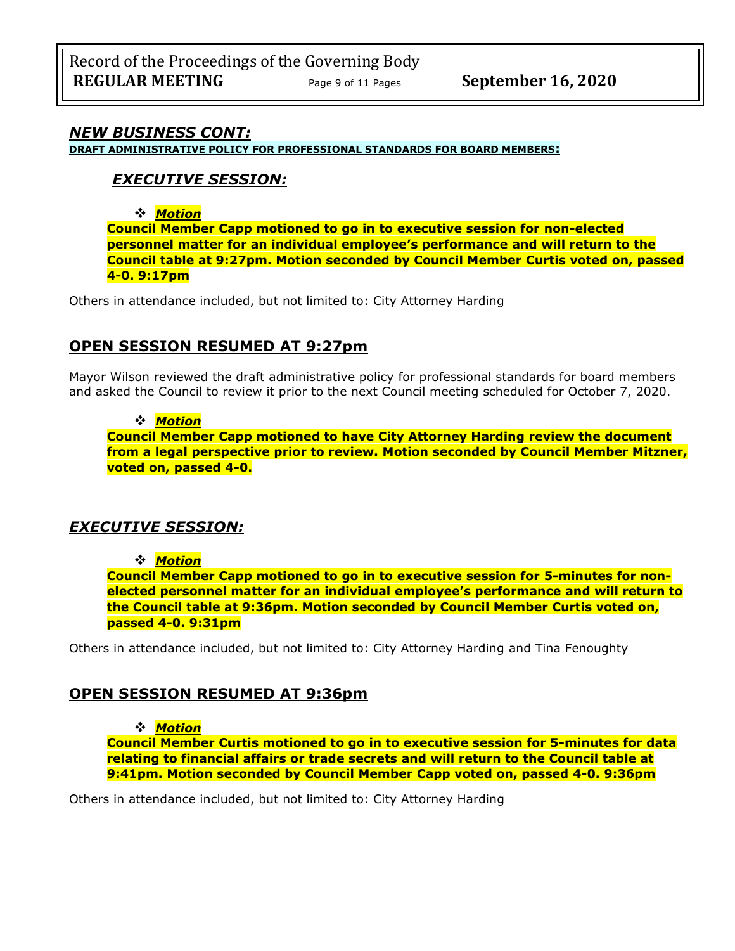### *NEW BUSINESS CONT:*

**DRAFT ADMINISTRATIVE POLICY FOR PROFESSIONAL STANDARDS FOR BOARD MEMBERS:**

## *EXECUTIVE SESSION:*

❖ *Motion* 

**Council Member Capp motioned to go in to executive session for non-elected personnel matter for an individual employee's performance and will return to the Council table at 9:27pm. Motion seconded by Council Member Curtis voted on, passed 4-0. 9:17pm** 

Others in attendance included, but not limited to: City Attorney Harding

### **OPEN SESSION RESUMED AT 9:27pm**

Mayor Wilson reviewed the draft administrative policy for professional standards for board members and asked the Council to review it prior to the next Council meeting scheduled for October 7, 2020.

#### ❖ *Motion*

**Council Member Capp motioned to have City Attorney Harding review the document from a legal perspective prior to review. Motion seconded by Council Member Mitzner, voted on, passed 4-0.**

## *EXECUTIVE SESSION:*

#### ❖ *Motion*

**Council Member Capp motioned to go in to executive session for 5-minutes for nonelected personnel matter for an individual employee's performance and will return to the Council table at 9:36pm. Motion seconded by Council Member Curtis voted on, passed 4-0. 9:31pm** 

Others in attendance included, but not limited to: City Attorney Harding and Tina Fenoughty

### **OPEN SESSION RESUMED AT 9:36pm**

#### ❖ *Motion*

**Council Member Curtis motioned to go in to executive session for 5-minutes for data relating to financial affairs or trade secrets and will return to the Council table at 9:41pm. Motion seconded by Council Member Capp voted on, passed 4-0. 9:36pm** 

Others in attendance included, but not limited to: City Attorney Harding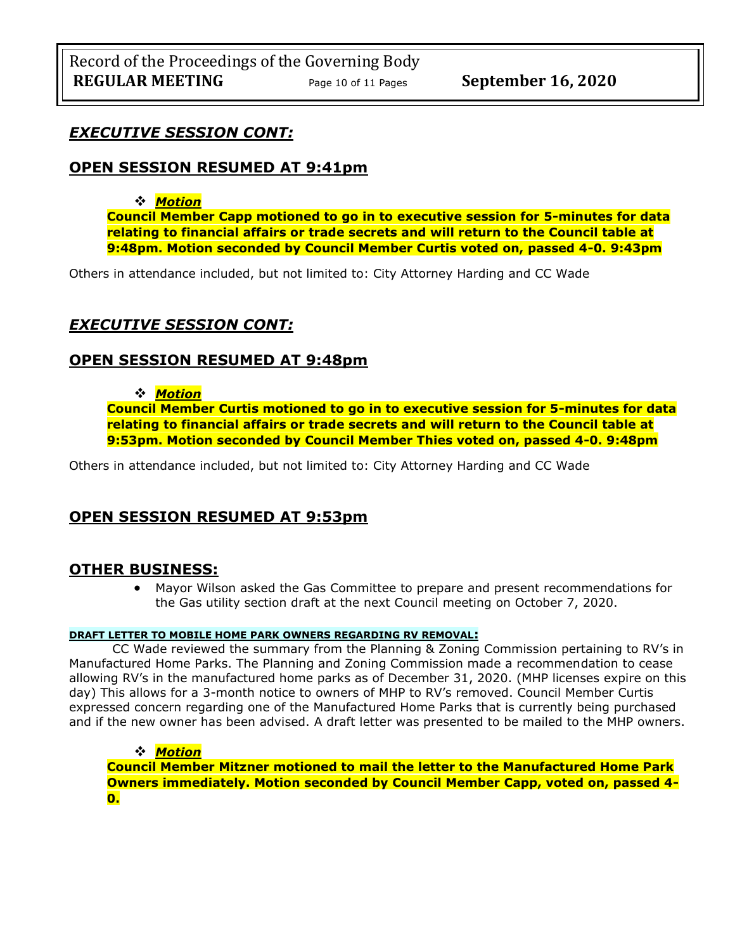## *EXECUTIVE SESSION CONT:*

## **OPEN SESSION RESUMED AT 9:41pm**

### ❖ *Motion*

**Council Member Capp motioned to go in to executive session for 5-minutes for data relating to financial affairs or trade secrets and will return to the Council table at 9:48pm. Motion seconded by Council Member Curtis voted on, passed 4-0. 9:43pm** 

Others in attendance included, but not limited to: City Attorney Harding and CC Wade

## *EXECUTIVE SESSION CONT:*

## **OPEN SESSION RESUMED AT 9:48pm**

### ❖ *Motion*

**Council Member Curtis motioned to go in to executive session for 5-minutes for data relating to financial affairs or trade secrets and will return to the Council table at 9:53pm. Motion seconded by Council Member Thies voted on, passed 4-0. 9:48pm** 

Others in attendance included, but not limited to: City Attorney Harding and CC Wade

## **OPEN SESSION RESUMED AT 9:53pm**

## **OTHER BUSINESS:**

• Mayor Wilson asked the Gas Committee to prepare and present recommendations for the Gas utility section draft at the next Council meeting on October 7, 2020.

#### **DRAFT LETTER TO MOBILE HOME PARK OWNERS REGARDING RV REMOVAL:**

CC Wade reviewed the summary from the Planning & Zoning Commission pertaining to RV's in Manufactured Home Parks. The Planning and Zoning Commission made a recommendation to cease allowing RV's in the manufactured home parks as of December 31, 2020. (MHP licenses expire on this day) This allows for a 3-month notice to owners of MHP to RV's removed. Council Member Curtis expressed concern regarding one of the Manufactured Home Parks that is currently being purchased and if the new owner has been advised. A draft letter was presented to be mailed to the MHP owners.

❖ *Motion*  **Council Member Mitzner motioned to mail the letter to the Manufactured Home Park Owners immediately. Motion seconded by Council Member Capp, voted on, passed 4- 0.**